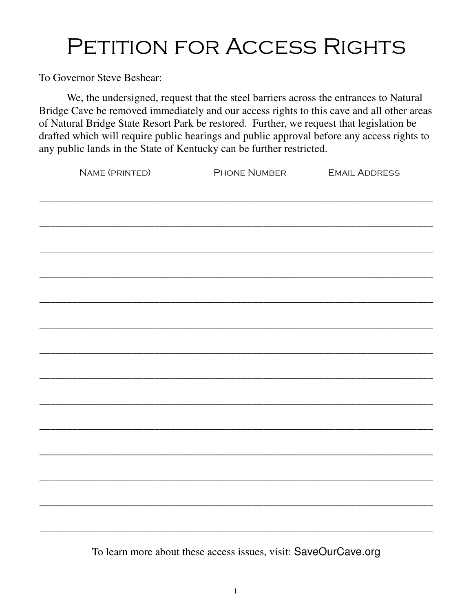To Governor Steve Beshear:

 We, the undersigned, request that the steel barriers across the entrances to Natural Bridge Cave be removed immediately and our access rights to this cave and all other areas of Natural Bridge State Resort Park be restored. Further, we request that legislation be drafted which will require public hearings and public approval before any access rights to any public lands in the State of Kentucky can be further restricted.

| NAME (PRINTED) | PHONE NUMBER EMAIL ADDRESS |  |
|----------------|----------------------------|--|
|                |                            |  |
|                |                            |  |
|                |                            |  |
|                |                            |  |
|                |                            |  |
|                |                            |  |
|                |                            |  |
|                |                            |  |
|                |                            |  |
|                |                            |  |
|                |                            |  |
|                |                            |  |
|                |                            |  |
|                |                            |  |
|                |                            |  |
|                |                            |  |
|                |                            |  |
|                |                            |  |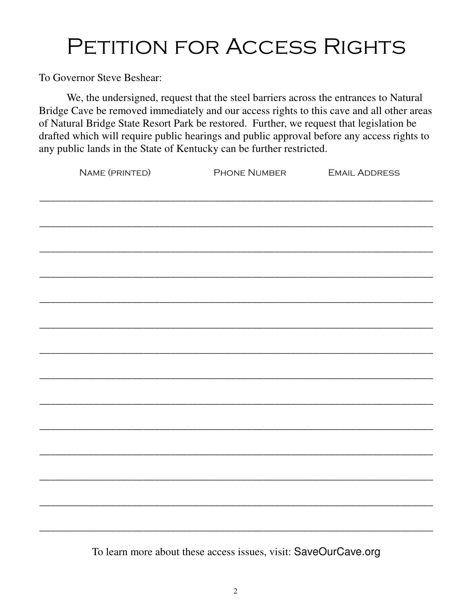To Governor Steve Beshear:

 We, the undersigned, request that the steel barriers across the entrances to Natural Bridge Cave be removed immediately and our access rights to this cave and all other areas of Natural Bridge State Resort Park be restored. Further, we request that legislation be drafted which will require public hearings and public approval before any access rights to any public lands in the State of Kentucky can be further restricted.

| NAME (PRINTED) | PHONE NUMBER EMAIL ADDRESS                                                       |  |
|----------------|----------------------------------------------------------------------------------|--|
|                | ,我们也不能会在这里,我们的人们就会不能会在这里,我们也不能会不能会不能会不能会不能会不能会不能会。""我们的人们,我们也不能会不能会不能会不能会不能会不能会不 |  |
|                |                                                                                  |  |
|                |                                                                                  |  |
|                |                                                                                  |  |
|                |                                                                                  |  |
|                |                                                                                  |  |
|                |                                                                                  |  |
|                |                                                                                  |  |
|                |                                                                                  |  |
|                |                                                                                  |  |
|                |                                                                                  |  |
|                |                                                                                  |  |
|                |                                                                                  |  |
|                |                                                                                  |  |
|                |                                                                                  |  |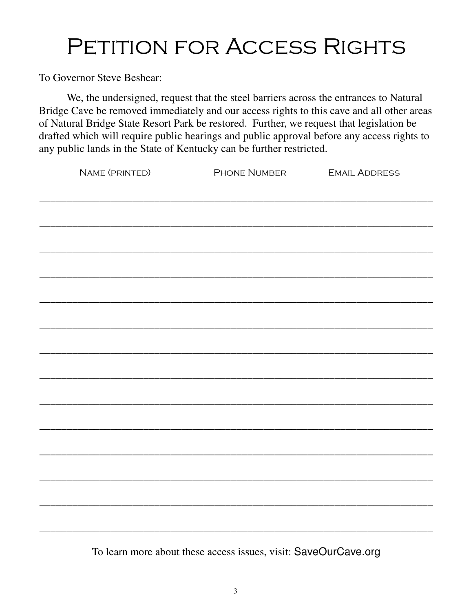To Governor Steve Beshear:

 We, the undersigned, request that the steel barriers across the entrances to Natural Bridge Cave be removed immediately and our access rights to this cave and all other areas of Natural Bridge State Resort Park be restored. Further, we request that legislation be drafted which will require public hearings and public approval before any access rights to any public lands in the State of Kentucky can be further restricted.

| NAME (PRINTED) | PHONE NUMBER EMAIL ADDRESS                                                       |  |
|----------------|----------------------------------------------------------------------------------|--|
|                | ,我们也不能会在这里,我们的人们就会在这里,我们也不会在这里,我们也不会在这里,我们也不会在这里,我们也不会在这里,我们也不会在这里,我们也不会在这里,我们也不 |  |
|                |                                                                                  |  |
|                |                                                                                  |  |
|                |                                                                                  |  |
|                |                                                                                  |  |
|                |                                                                                  |  |
|                |                                                                                  |  |
|                |                                                                                  |  |
|                |                                                                                  |  |
|                |                                                                                  |  |
|                |                                                                                  |  |
|                |                                                                                  |  |
|                |                                                                                  |  |
|                |                                                                                  |  |
|                |                                                                                  |  |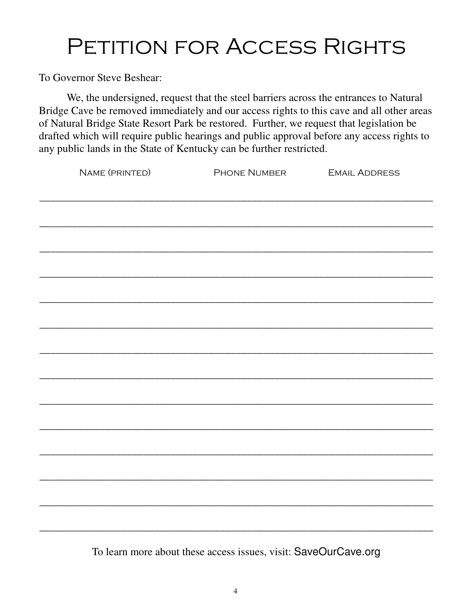To Governor Steve Beshear:

 We, the undersigned, request that the steel barriers across the entrances to Natural Bridge Cave be removed immediately and our access rights to this cave and all other areas of Natural Bridge State Resort Park be restored. Further, we request that legislation be drafted which will require public hearings and public approval before any access rights to any public lands in the State of Kentucky can be further restricted.

| NAME (PRINTED) | PHONE NUMBER EMAIL ADDRESS |  |
|----------------|----------------------------|--|
|                |                            |  |
|                |                            |  |
|                |                            |  |
|                |                            |  |
|                |                            |  |
|                |                            |  |
|                |                            |  |
|                |                            |  |
|                |                            |  |
|                |                            |  |
|                |                            |  |
|                |                            |  |
|                |                            |  |
|                |                            |  |
|                |                            |  |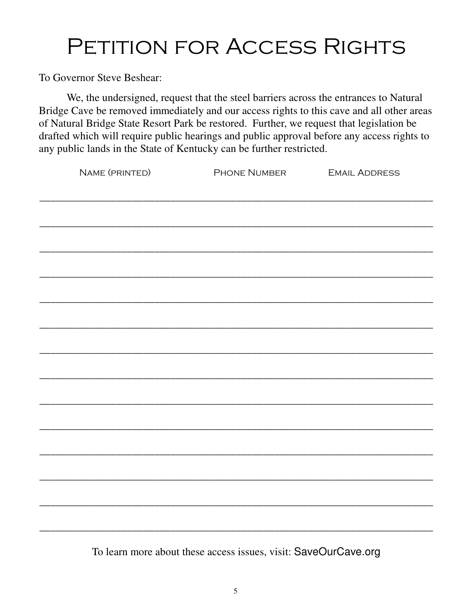To Governor Steve Beshear:

 We, the undersigned, request that the steel barriers across the entrances to Natural Bridge Cave be removed immediately and our access rights to this cave and all other areas of Natural Bridge State Resort Park be restored. Further, we request that legislation be drafted which will require public hearings and public approval before any access rights to any public lands in the State of Kentucky can be further restricted.

| NAME (PRINTED) | PHONE NUMBER EMAIL ADDRESS |  |
|----------------|----------------------------|--|
|                |                            |  |
|                |                            |  |
|                |                            |  |
|                |                            |  |
|                |                            |  |
|                |                            |  |
|                |                            |  |
|                |                            |  |
|                |                            |  |
|                |                            |  |
|                |                            |  |
|                |                            |  |
|                |                            |  |
|                |                            |  |
|                |                            |  |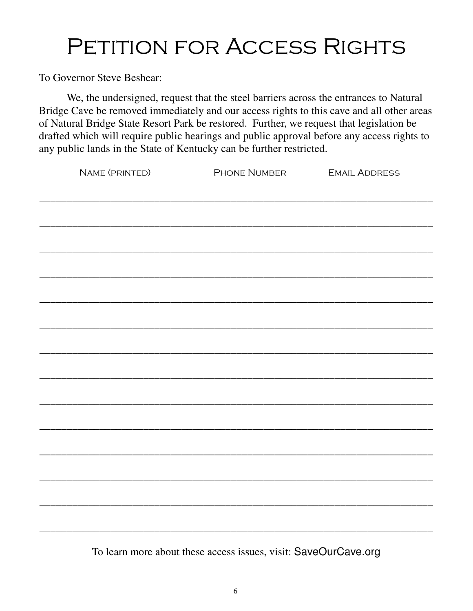To Governor Steve Beshear:

 We, the undersigned, request that the steel barriers across the entrances to Natural Bridge Cave be removed immediately and our access rights to this cave and all other areas of Natural Bridge State Resort Park be restored. Further, we request that legislation be drafted which will require public hearings and public approval before any access rights to any public lands in the State of Kentucky can be further restricted.

| NAME (PRINTED) | PHONE NUMBER EMAIL ADDRESS                                                       |  |
|----------------|----------------------------------------------------------------------------------|--|
|                | ,我们也不能会在这里,我们的人们就会在这里,我们也不会在这里,我们也不会在这里,我们也不会在这里,我们也不会在这里,我们也不会在这里,我们也不会在这里,我们也不 |  |
|                |                                                                                  |  |
|                |                                                                                  |  |
|                |                                                                                  |  |
|                |                                                                                  |  |
|                |                                                                                  |  |
|                |                                                                                  |  |
|                |                                                                                  |  |
|                |                                                                                  |  |
|                |                                                                                  |  |
|                |                                                                                  |  |
|                |                                                                                  |  |
|                |                                                                                  |  |
|                |                                                                                  |  |
|                |                                                                                  |  |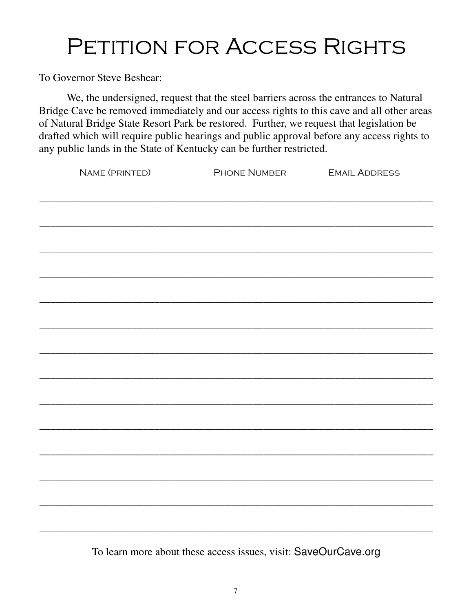To Governor Steve Beshear:

 We, the undersigned, request that the steel barriers across the entrances to Natural Bridge Cave be removed immediately and our access rights to this cave and all other areas of Natural Bridge State Resort Park be restored. Further, we request that legislation be drafted which will require public hearings and public approval before any access rights to any public lands in the State of Kentucky can be further restricted.

| NAME (PRINTED) | PHONE NUMBER EMAIL ADDRESS                                                       |  |
|----------------|----------------------------------------------------------------------------------|--|
|                | ,我们也不能会在这里,我们的人们就会在这里,我们也不会在这里,我们也不会在这里,我们也不会在这里,我们也不会在这里,我们也不会在这里,我们也不会在这里,我们也不 |  |
|                |                                                                                  |  |
|                |                                                                                  |  |
|                |                                                                                  |  |
|                |                                                                                  |  |
|                |                                                                                  |  |
|                |                                                                                  |  |
|                |                                                                                  |  |
|                |                                                                                  |  |
|                |                                                                                  |  |
|                |                                                                                  |  |
|                |                                                                                  |  |
|                |                                                                                  |  |
|                |                                                                                  |  |
|                |                                                                                  |  |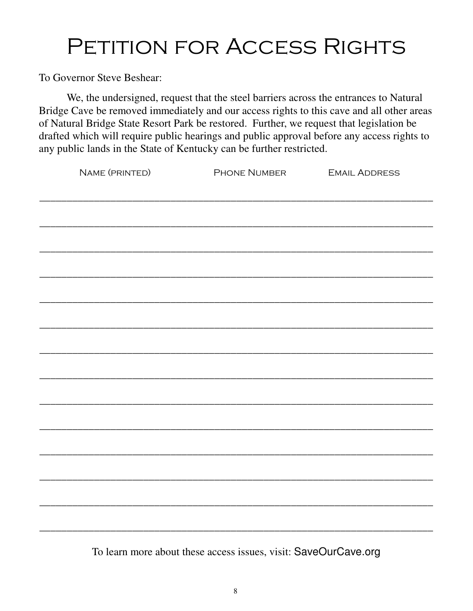To Governor Steve Beshear:

 We, the undersigned, request that the steel barriers across the entrances to Natural Bridge Cave be removed immediately and our access rights to this cave and all other areas of Natural Bridge State Resort Park be restored. Further, we request that legislation be drafted which will require public hearings and public approval before any access rights to any public lands in the State of Kentucky can be further restricted.

| NAME (PRINTED) | PHONE NUMBER EMAIL ADDRESS                                                       |  |
|----------------|----------------------------------------------------------------------------------|--|
|                | ,我们也不能会在这里,我们的人们就会在这里,我们也不会在这里,我们也不会在这里,我们也不会在这里,我们也不会在这里,我们也不会在这里,我们也不会在这里,我们也不 |  |
|                |                                                                                  |  |
|                |                                                                                  |  |
|                |                                                                                  |  |
|                |                                                                                  |  |
|                |                                                                                  |  |
|                |                                                                                  |  |
|                |                                                                                  |  |
|                |                                                                                  |  |
|                |                                                                                  |  |
|                |                                                                                  |  |
|                |                                                                                  |  |
|                |                                                                                  |  |
|                |                                                                                  |  |
|                |                                                                                  |  |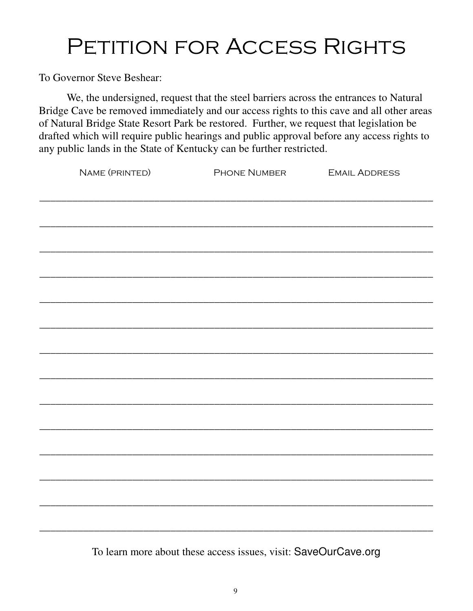To Governor Steve Beshear:

 We, the undersigned, request that the steel barriers across the entrances to Natural Bridge Cave be removed immediately and our access rights to this cave and all other areas of Natural Bridge State Resort Park be restored. Further, we request that legislation be drafted which will require public hearings and public approval before any access rights to any public lands in the State of Kentucky can be further restricted.

| NAME (PRINTED) | PHONE NUMBER EMAIL ADDRESS |  |
|----------------|----------------------------|--|
|                |                            |  |
|                |                            |  |
|                |                            |  |
|                |                            |  |
|                |                            |  |
|                |                            |  |
|                |                            |  |
|                |                            |  |
|                |                            |  |
|                |                            |  |
|                |                            |  |
|                |                            |  |
|                |                            |  |
|                |                            |  |
|                |                            |  |